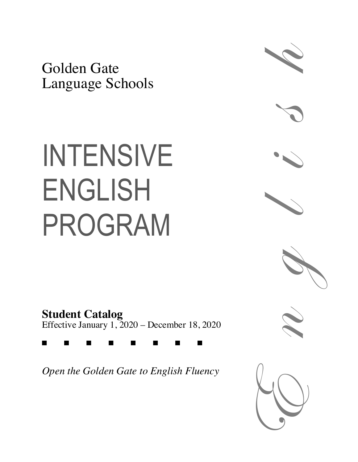Golden Gate Language Schools

# INTENSIVE ENGLISH PROGRAM

**Student Catalog** Effective January 1, 2020 – December 18, 2020

g g g g g g g g

*Open the Golden Gate to English Fluency*







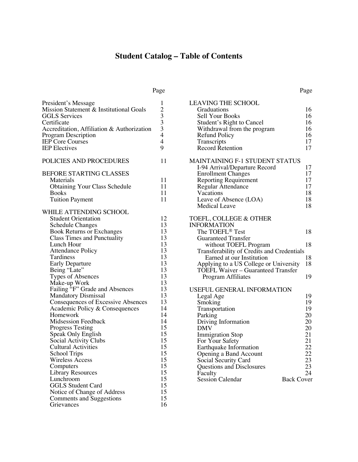## **Student Catalog – Table of Contents**

Page

| President's Message<br>Mission Statement & Institutional Goals<br><b>GGLS</b> Services<br>Certificate<br>Accreditation, Affiliation & Authorization<br><b>Program Description</b><br><b>IEP</b> Core Courses<br><b>IEP</b> Electives                                                                                                                                                                                                                                                                                                                                                                                                                                               | 1<br>$\begin{array}{c} 2 \\ 3 \\ 3 \end{array}$<br>$\overline{4}$<br>$\overline{4}$<br>9                                                                 |
|------------------------------------------------------------------------------------------------------------------------------------------------------------------------------------------------------------------------------------------------------------------------------------------------------------------------------------------------------------------------------------------------------------------------------------------------------------------------------------------------------------------------------------------------------------------------------------------------------------------------------------------------------------------------------------|----------------------------------------------------------------------------------------------------------------------------------------------------------|
| POLICIES AND PROCEDURES                                                                                                                                                                                                                                                                                                                                                                                                                                                                                                                                                                                                                                                            | 11                                                                                                                                                       |
| <b>BEFORE STARTING CLASSES</b><br>Materials<br><b>Obtaining Your Class Schedule</b><br><b>Books</b><br><b>Tuition Payment</b>                                                                                                                                                                                                                                                                                                                                                                                                                                                                                                                                                      | 11<br>11<br>11<br>11                                                                                                                                     |
| WHILE ATTENDING SCHOOL<br><b>Student Orientation</b><br><b>Schedule Changes</b><br><b>Book Returns or Exchanges</b><br><b>Class Times and Punctuality</b><br>Lunch Hour<br><b>Attendance Policy</b><br>Tardiness<br>Early Departure<br>Being "Late"<br>Types of Absences<br>Make-up Work<br>Failing "F" Grade and Absences<br><b>Mandatory Dismissal</b><br><b>Consequences of Excessive Absences</b><br>Academic Policy & Consequences<br>Homework<br><b>Midsession Feedback</b><br><b>Progress Testing</b><br>Speak Only English<br>Social Activity Clubs<br><b>Cultural Activities</b><br>School Trips<br>Wireless Access<br>Computers<br><b>Library Resources</b><br>Lunchroom | 12<br>13<br>13<br>13<br>13<br>13<br>13<br>13<br>13<br>13<br>13<br>13<br>13<br>13<br>14<br>14<br>14<br>15<br>15<br>15<br>15<br>15<br>15<br>15<br>15<br>15 |
| <b>GGLS Student Card</b><br>Notice of Change of Address<br>Comments and Suggestions<br>Grievances                                                                                                                                                                                                                                                                                                                                                                                                                                                                                                                                                                                  | 15<br>15<br>15<br>16                                                                                                                                     |

| <b>LEAVING THE SCHOOL</b>                  |    |
|--------------------------------------------|----|
| Graduations                                | 16 |
| Sell Your Books                            | 16 |
| Student's Right to Cancel                  | 16 |
| Withdrawal from the program                | 16 |
| <b>Refund Policy</b>                       | 16 |
| Transcripts                                | 17 |
| <b>Record Retention</b>                    | 17 |
| MAINTAINING F-1 STUDENT STATUS             |    |
| I-94 Arrival/Departure Record              | 17 |
| <b>Enrollment Changes</b>                  | 17 |
| <b>Reporting Requirement</b>               | 17 |
| <b>Regular Attendance</b>                  | 17 |
| Vacations                                  | 18 |
| Leave of Absence (LOA)                     | 18 |
| <b>Medical Leave</b>                       | 18 |
| TOEFL, COLLEGE & OTHER                     |    |
| <b>INFORMATION</b>                         |    |
| The TOEFL <sup>®</sup> Test                | 18 |
| <b>Guaranteed Transfer</b>                 |    |
| without TOEFL Program                      | 18 |
| Transferability of Credits and Credentials |    |
| Earned at our Institution                  | 18 |
| Applying to a US College or University     | 18 |
| TOEFL Waiver – Guaranteed Transfer         |    |
| Program Affiliates                         | 19 |
|                                            |    |
| USEFUL GENERAL INFORMATION                 |    |
| Legal Age                                  | 19 |
| Smoking                                    | 19 |
| Transportation                             | 19 |
| Parking                                    | 20 |
| Driving Information                        | 20 |
| <b>DMV</b>                                 | 20 |
| <b>Immigration Stop</b>                    | 21 |
| For Your Safety                            | 21 |
| Earthquake Information                     | 22 |
| Opening a Band Account                     | 22 |

Social Security Card 23 Questions and Disclosures 23 Faculty 24 Session Calendar Back Cover

Page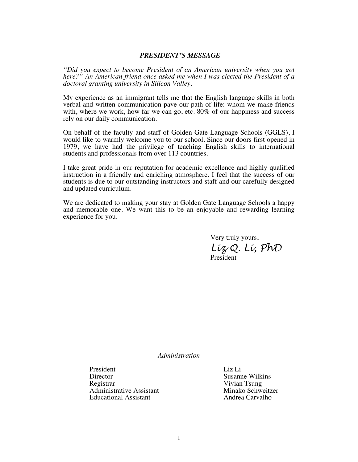#### *PRESIDENT'S MESSAGE*

*"Did you expect to become President of an American university when you got here?" An American friend once asked me when I was elected the President of a doctoral granting university in Silicon Valley.*

My experience as an immigrant tells me that the English language skills in both verbal and written communication pave our path of life: whom we make friends with, where we work, how far we can go, etc. 80% of our happiness and success rely on our daily communication.

On behalf of the faculty and staff of Golden Gate Language Schools (GGLS), I would like to warmly welcome you to our school. Since our doors first opened in 1979, we have had the privilege of teaching English skills to international students and professionals from over 113 countries.

I take great pride in our reputation for academic excellence and highly qualified instruction in a friendly and enriching atmosphere. I feel that the success of our students is due to our outstanding instructors and staff and our carefully designed and updated curriculum.

We are dedicated to making your stay at Golden Gate Language Schools a happy and memorable one. We want this to be an enjoyable and rewarding learning experience for you.

> Very truly yours, *Liz Q. Li, PhD* President

*Administration*

President Liz Li<br>Director Susann Registrar Vivian Tsung Administrative Assistant and Minako Schweitz<br>
Educational Assistant and Andrea Carvalho Educational Assistant

Susanne Wilkins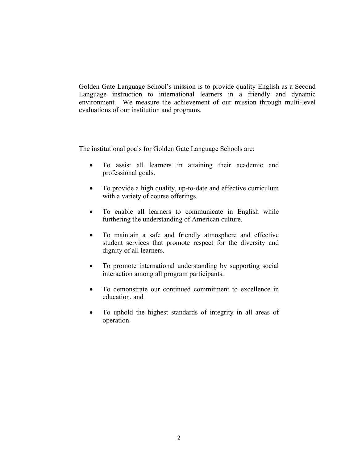Golden Gate Language School's mission is to provide quality English as a Second Language instruction to international learners in a friendly and dynamic environment. We measure the achievement of our mission through multi-level evaluations of our institution and programs.

The institutional goals for Golden Gate Language Schools are:

- To assist all learners in attaining their academic and professional goals.
- To provide a high quality, up-to-date and effective curriculum with a variety of course offerings.
- To enable all learners to communicate in English while furthering the understanding of American culture.
- To maintain a safe and friendly atmosphere and effective student services that promote respect for the diversity and dignity of all learners.
- To promote international understanding by supporting social interaction among all program participants.
- To demonstrate our continued commitment to excellence in education, and
- To uphold the highest standards of integrity in all areas of operation.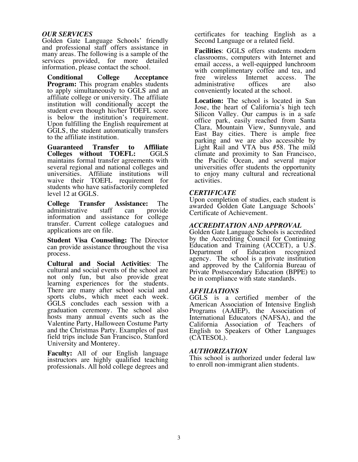#### *OUR SERVICES*

Golden Gate Language Schools' friendly and professional staff offers assistance in many areas. The following is a sample of the services provided, for more detailed information, please contact the school.

**Conditional College Acceptance Program:** This program enables students to apply simultaneously to GGLS and an affiliate college or university. The affiliate institution will conditionally accept the student even though his/her TOEFL score is below the institution's requirement. Upon fulfilling the English requirement at GGLS, the student automatically transfers to the affiliate institution.

**Guaranteed Transfer to Affiliate Colleges** without **TOEFL**: maintains formal transfer agreements with several regional and national colleges and universities. Affiliate institutions will waive their TOEFL requirement for students who have satisfactorily completed level 12 at GGLS.

**College Transfer Assistance:** The administrative staff can provide information and assistance for college transfer. Current college catalogues and applications are on file.

**Student Visa Counseling:** The Director can provide assistance throughout the visa process.

**Cultural and Social Activities**: The cultural and social events of the school are not only fun, but also provide great learning experiences for the students. There are many after school social and sports clubs, which meet each week. GGLS concludes each session with a graduation ceremony. The school also hosts many annual events such as the Valentine Party, Halloween Costume Party and the Christmas Party. Examples of past field trips include San Francisco, Stanford University and Monterey.

**Faculty:** All of our English language instructors are highly qualified teaching professionals. All hold college degrees and certificates for teaching English as a Second Language or a related field.

**Facilities**: GGLS offers students modern classrooms, computers with Internet and email access, a well-equipped lunchroom with complimentary coffee and tea, and<br>free wireless Internet access. The Internet access. The<br>offices are also administrative conveniently located at the school.

**Location:** The school is located in San Jose, the heart of California's high tech Silicon Valley. Our campus is in a safe office park, easily reached from Santa Clara, Mountain View, Sunnyvale, and East Bay cities. There is ample free parking and we are also accessible by Light Rail and VTA bus #58. The mild climate and proximity to San Francisco, the Pacific Ocean, and several major universities offer students the opportunity to enjoy many cultural and recreational activities.

#### *CERTIFICATE*

Upon completion of studies, each student is awarded Golden Gate Language Schools' Certificate of Achievement.

#### *ACCREDITATION AND APPROVAL*

Golden Gate Language Schools is accredited by the Accrediting Council for Continuing Education and Training (ACCET), a U.S. Department of Education recognized agency. The school is a private institution and approved by the California Bureau of Private Postsecondary Education (BPPE) to be in compliance with state standards.

#### *AFFILIATIONS*

GGLS is a certified member of the American Association of Intensive English Programs (AAIEP), the Association of International Educators (NAFSA), and the California Association of Teachers of English to Speakers of Other Languages (CATESOL).

#### *AUTHORIZATION*

This school is authorized under federal law to enroll non-immigrant alien students.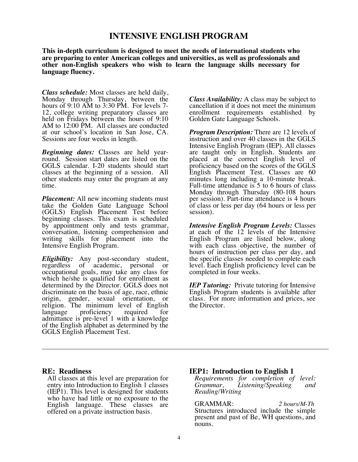### **INTENSIVE ENGLISH PROGRAM**

**This in-depth curriculum is designed to meet the needs of international students who are preparing to enter American colleges and universities, as well as professionals and other non-English speakers who wish to learn the language skills necessary for language fluency.**

*Class schedule:* Most classes are held daily, Monday through Thursday, between the hours of 9:10 AM to 3:30 PM. For levels 7-<br>12, college writing preparatory classes are held on Fridays between the hours of 9:10 AM to 12:00 PM. All classes are conducted at our school's location in San Jose, CA. Sessions are four weeks in length.

*Beginning dates:* Classes are held year- round. Session start dates are listed on the GGLS calendar. I-20 students should start classes at the beginning of a session. All other students may enter the program at any time.

*Placement:* All new incoming students must take the Golden Gate Language School (GGLS) English Placement Test before beginning classes. This exam is scheduled by appointment only and tests grammar, conversation, listening comprehension and writing skills for placement into the Intensive English Program.

*Eligibility:* Any post-secondary student, regardless of academic, personal or occupational goals, may take any class for which he/she is qualified for enrollment as determined by the Director. GGLS does not discriminate on the basis of age, race, ethnic origin, gender, sexual orientation, or religion. The minimum level of English language proficiency required for admittance is pre-level 1 with a knowledge of the English alphabet as determined by the GGLS English Placement Test.

*Class Availability:* A class may be subject to cancellation if it does not meet the minimum enrollment requirements established by Golden Gate Language Schools.

*Program Description:* There are 12 levels of instruction and over 40 classes in the GGLS Intensive English Program (IEP). All classes are taught only in English. Students are placed at the correct English level of proficiency based on the scores of the GGLS English Placement Test. Classes are 60 minutes long including a 10-minute break. Full-time attendance is 5 to 6 hours of class Monday through Thursday (80-108 hours per session). Part-time attendance is 4 hours of class or less per day (64 hours or less per session).

*Intensive English Program Levels:* Classes at each of the 12 levels of the Intensive English Program are listed below, along with each class objective, the number of hours of instruction per class per day, and the specific classes needed to complete each level. Each English proficiency level can be completed in four weeks.

*IEP Tutoring:* Private tutoring for Intensive English Program students is available after class. For more information and prices, see the Director.

#### **RE: Readiness**

All classes at this level are preparation for entry into Introduction to English 1 classes (IEP1). This level is designed for students who have had little or no exposure to the English language. These classes are offered on a private instruction basis.

#### **IEP1: Introduction to English 1**

*Requirements for completion of level: Grammar, Listening/Speaking and Reading/Writing*

GRAMMAR: *2 hours/M-Th* Structures introduced include the simple present and past of Be, WH questions, and nouns.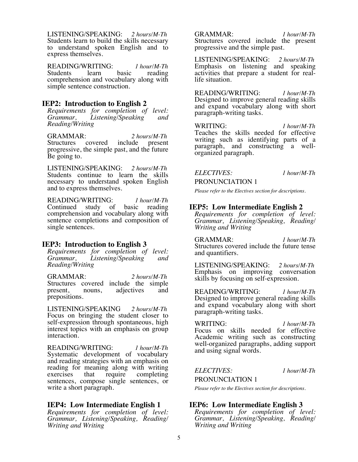LISTENING/SPEAKING: *2 hours/M-Th* Students learn to build the skills necessary to understand spoken English and to express themselves.

READING/WRITING: *1 hour/M-Th* Students comprehension and vocabulary along with simple sentence construction.

#### **IEP2: Introduction to English 2**

*Requirements for completion of level: Grammar, Listening/Speaking and Reading/Writing*

GRAMMAR: 2 *hours/M-Th*<br>Structures covered include present Structures covered progressive, the simple past, and the future Be going to.

LISTENING/SPEAKING: *2 hours/M-Th* Students continue to learn the skills necessary to understand spoken English and to express themselves.

READING/WRITING: *1 hour/M-Th* Continued study of comprehension and vocabulary along with sentence completions and composition of single sentences.

#### **IEP3: Introduction to English 3**

*Requirements for completion of level: Grammar, Listening/Speaking and Reading/Writing*

GRAMMAR: *2 hours/M-Th* Structures covered include the simple<br>present, nouns, adjectives and adjectives prepositions.

LISTENING/SPEAKING *2 hours/M-Th* Focus on bringing the student closer to self-expression through spontaneous, high interest topics with an emphasis on group interaction.

READING/WRITING: *1 hour/M-Th* Systematic development of vocabulary and reading strategies with an emphasis on reading for meaning along with writing<br>exercises that require completing completing sentences, compose single sentences, or write a short paragraph.

#### **IEP4: Low Intermediate English 1**

*Requirements for completion of level: Grammar, Listening/Speaking, Reading/ Writing and Writing*

GRAMMAR: *1 hour/M-Th* Structures covered include the present progressive and the simple past.

LISTENING/SPEAKING: *2 hours/M-Th* Emphasis on listening and speaking activities that prepare a student for real- life situation.

READING/WRITING: *1 hour/M-Th* Designed to improve general reading skills and expand vocabulary along with short paragraph-writing tasks.

WRITING: *1 hour/M-Th* Teaches the skills needed for effective writing such as identifying parts of a paragraph, and constructing a well- organized paragraph.

#### *ELECTIVES: 1 hour/M-Th*

PRONUNCIATION 1 *Please refer to the Electives section for descriptions.*

#### **IEP5: Low Intermediate English 2**

*Requirements for completion of level: Grammar, Listening/Speaking, Reading/ Writing and Writing*

GRAMMAR: *1 hour/M-Th* Structures covered include the future tense and quantifiers.

LISTENING/SPEAKING: *2 hours/M-Th* Emphasis on improving conversation skills by focusing on self-expression.

READING/WRITING: *1 hour/M-Th* Designed to improve general reading skills and expand vocabulary along with short paragraph-writing tasks.

WRITING: *1 hour/M-Th* Focus on skills needed for effective Academic writing such as constructing well-organized paragraphs, adding support and using signal words.

*ELECTIVES: 1 hour/M-Th*

PRONUNCIATION 1

*Please refer to the Electives section for descriptions.*

#### **IEP6: Low Intermediate English 3**

*Requirements for completion of level: Grammar, Listening/Speaking, Reading/ Writing and Writing*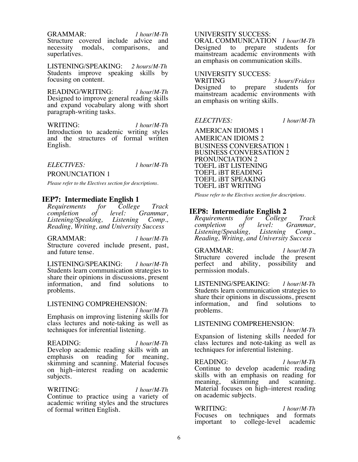GRAMMAR: *1 hour/M-Th*

Structure covered include advice and<br>necessity modals, comparisons, and necessity modals, comparisons, superlatives.

LISTENING/SPEAKING: *2 hours/M-Th* Students improve speaking skills by focusing on content.

READING/WRITING: *1 hour/M-Th* Designed to improve general reading skills and expand vocabulary along with short paragraph-writing tasks.

WRITING: *1 hour/M-Th* Introduction to academic writing styles and the structures of formal written English.

#### *ELECTIVES: 1 hour/M-Th*

#### PRONUNCIATION 1

*Please refer to the Electives section for descriptions.*

#### **IEP7: Intermediate English 1**

*Requirements for College Track completion of level: C*<br>*Listening/Speaking, Listening Listening/Speaking, Listening Comp., Reading, Writing, and University Success*

GRAMMAR: *1 hour/M-Th* Structure covered include present, past, and future tense.

LISTENING/SPEAKING: *1 hour/M-Th* Students learn communication strategies to share their opinions in discussions, present<br>information, and find solutions to information, and find solutions to problems.

# LISTENING COMPREHENSION: *<sup>1</sup> hour/M-Th*

Emphasis on improving listening skills for class lectures and note-taking as well as techniques for inferential listening.

READING: *1 hour/M-Th* Develop academic reading skills with an emphasis on reading for meaning, skimming and scanning. Material focuses on high–interest reading on academic subjects.

WRITING: *1 hour/M-Th* Continue to practice using a variety of academic writing styles and the structures of formal written English.

#### UNIVERSITY SUCCESS:

ORAL COMMUNICATION *1 hour/M-Th* prepare students for mainstream academic environments with an emphasis on communication skills.

# UNIVERSITY SUCCESS:

<sup>3</sup> *hours/Fridays* prepare students for Designed to prepare students for mainstream academic environments with an emphasis on writing skills.

*ELECTIVES: 1 hour/M-Th*

AMERICAN IDIOMS 1 AMERICAN IDIOMS 2 BUSINESS CONVERSATION 1 BUSINESS CONVERSATION 2 PRONUNCIATION 2 TOEFL iBT LISTENING TOEFL iBT READING TOEFL iBT SPEAKING TOEFL iBT WRITING

*Please refer to the Electives section for descriptions.*

**IEP8: Intermediate English 2**<br>Requirements for College<br>completion of *Requirements for College Track completion of level: Grammar, Listening/Speaking, Reading, Writing, and University Success*

GRAMMAR: *1 hour/M-Th* Structure covered include the present perfect and ability, possibility and permission modals.

LISTENING/SPEAKING: *1 hour/M-Th* Students learn communication strategies to share their opinions in discussions, present<br>information, and find solutions to information, problems.

# LISTENING COMPREHENSION: *<sup>1</sup> hour/M-Th*

Expansion of listening skills needed for class lectures and note-taking as well as techniques for inferential listening.

READING: *1 hour/M-Th* Continue to develop academic reading skills with an emphasis on reading for meaning, skimming and scanning. Material focuses on high–interest reading on academic subjects.

WRITING: *1 hour/M-Th* Focuses on techniques and formats important to college-level academic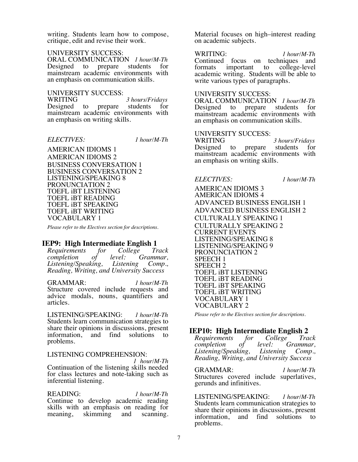writing. Students learn how to compose, critique, edit and revise their work.

#### UNIVERSITY SUCCESS:

ORAL COMMUNICATION *1 hour/M-Th* Designed to prepare students mainstream academic environments with an emphasis on communication skills.

UNIVERSITY SUCCESS:

WRITING *3 hours/Fridays* prepare students mainstream academic environments with an emphasis on writing skills.

*ELECTIVES: 1 hour/M-Th*

AMERICAN IDIOMS 1 AMERICAN IDIOMS 2 BUSINESS CONVERSATION 1 BUSINESS CONVERSATION 2 LISTENING/SPEAKING 8 PRONUNCIATION 2 TOEFL iBT LISTENING TOEFL iBT READING TOEFL iBT SPEAKING TOEFL iBT WRITING VOCABULARY 1

*Please refer to the Electives section for descriptions.*

# **IEP9: High Intermediate English 1**<br>Requirements for College Tr

*Requirements for College Track completion of level: Grammar, Listening/Speaking, Listening Comp., Reading, Writing, and University Success*

GRAMMAR: *1 hour/M-Th* Structure covered include requests and advice modals, nouns, quantifiers and articles.

LISTENING/SPEAKING: *1 hour/M-Th* Students learn communication strategies to share their opinions in discussions, present information, and find solutions to problems.

# LISTENING COMPREHENSION: *<sup>1</sup> hour/M-Th*

Continuation of the listening skills needed for class lectures and note-taking such as inferential listening.

READING: *1 hour/M-Th* Continue to develop academic reading skills with an emphasis on reading for meaning, skimming and scanning. Material focuses on high–interest reading on academic subjects.

WRITING:*1 hour/M-Th* Continued focus on techniques and<br>formats important to college-level important to academic writing. Students will be able to write various types of paragraphs.

#### UNIVERSITY SUCCESS:

ORAL COMMUNICATION *1 hour/M-Th* Designed to prepare students for mainstream academic environments with an emphasis on communication skills.

# UNIVERSITY SUCCESS:

3 *hours/Fridays* Designed to prepare students for mainstream academic environments with an emphasis on writing skills.

#### *ELECTIVES: 1 hour/M-Th*

AMERICAN IDIOMS 3 AMERICAN IDIOMS 4 ADVANCED BUSINESS ENGLISH 1 ADVANCED BUSINESS ENGLISH 2 CULTURALLY SPEAKING 1 CULTURALLY SPEAKING 2 CURRENT EVENTS LISTENING/SPEAKING 8 LISTENING/SPEAKING 9 PRONUNCIATION 2 SPEECH 1 SPEECH 2 TOEFL iBT LISTENING TOEFL iBT READING TOEFL iBT SPEAKING TOEFL iBT WRITING VOCABULARY 1 VOCABULARY 2

*Please refer to the Electives section for descriptions.*

# **IEP10: High Intermediate English 2**<br>*Requirements for College Track*

*Requirements for Co.*<br>completion of level: *completion of level: Grammar, Listening/Speaking, Listening Comp., Reading, Writing, and University Success*

GRAMMAR: *1 hour/M-Th* Structures covered include superlatives, gerunds and infinitives.

LISTENING/SPEAKING: *1 hour/M-Th* Students learn communication strategies to share their opinions in discussions, present<br>information, and find solutions to information, and find problems.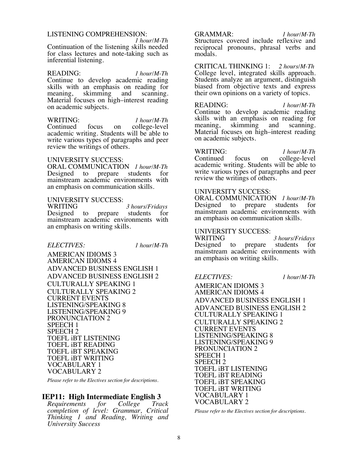# LISTENING COMPREHENSION: *1 hour/M-Th*

Continuation of the listening skills needed for class lectures and note-taking such as inferential listening.

READING: *1 hour/M-Th* Continue to develop academic reading skills with an emphasis on reading for meaning, skimming and scanning. meaning, skimming and scanning. Material focuses on high–interest reading on academic subjects.

WRITING:*1 hour/M-Th* on college-level academic writing. Students will be able to write various types of paragraphs and peer review the writings of others.

#### UNIVERSITY SUCCESS:

ORAL COMMUNICATION *1 hour/M-Th* to prepare students for mainstream academic environments with an emphasis on communication skills.

# UNIVERSITY SUCCESS:

<sup>3</sup> *hours/Fridays*<br>prepare students for Designed to mainstream academic environments with an emphasis on writing skills.

#### *ELECTIVES: 1 hour/M-Th*

AMERICAN IDIOMS 3 AMERICAN IDIOMS 4 ADVANCED BUSINESS ENGLISH 1 ADVANCED BUSINESS ENGLISH 2 CULTURALLY SPEAKING 1 CULTURALLY SPEAKING 2 CURRENT EVENTS LISTENING/SPEAKING 8 LISTENING/SPEAKING 9 PRONUNCIATION 2 SPEECH 1 SPEECH 2 TOEFL iBT LISTENING TOEFL iBT READING TOEFL iBT SPEAKING TOEFL iBT WRITING VOCABULARY 1 VOCABULARY 2

*Please refer to the Electives section for descriptions.*

# **IEP11: High Intermediate English 3**<br>Requirements for College Track

*Requirements completion of level: Grammar, Critical Thinking 1 and Reading, Writing and University Success*

#### GRAMMAR: *1 hour/M-Th*

Structures covered include reflexive and reciprocal pronouns, phrasal verbs and modals.

CRITICAL THINKING 1: *2 hours/M-Th* College level, integrated skills approach. Students analyze an argument, distinguish biased from objective texts and express their own opinions on a variety of topics.

READING: *1 hour/M-Th* Continue to develop academic reading skills with an emphasis on reading for meaning, skimming and scanning. skimming and Material focuses on high–interest reading on academic subjects.

WRITING: *1 hour/M-Th* on college-level academic writing. Students will be able to write various types of paragraphs and peer review the writings of others.

#### UNIVERSITY SUCCESS:

ORAL COMMUNICATION *1 hour/M-Th* Designed to mainstream academic environments with an emphasis on communication skills.

# UNIVERSITY SUCCESS:

WRITING *3 hours/Fridays* Designed to prepare students for mainstream academic environments with an emphasis on writing skills.

*ELECTIVES: 1 hour/M-Th*

AMERICAN IDIOMS 3 AMERICAN IDIOMS 4 ADVANCED BUSINESS ENGLISH 1 ADVANCED BUSINESS ENGLISH 2 CULTURALLY SPEAKING 1 CULTURALLY SPEAKING 2 CURRENT EVENTS LISTENING/SPEAKING 8 LISTENING/SPEAKING 9 PRONUNCIATION 2 SPEECH 1 SPEECH 2 TOEFL iBT LISTENING TOEFL iBT READING TOEFL iBT SPEAKING TOEFL iBT WRITING VOCABULARY 1 VOCABULARY 2

*Please refer to the Electives section for descriptions.*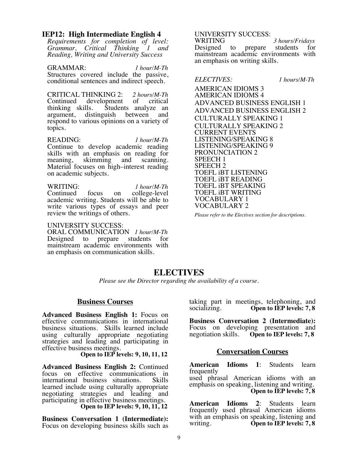#### **IEP12: High Intermediate English 4**

*Requirements for completion of level: Grammar, Critical Thinking 1 and Reading, Writing and University Success*

GRAMMAR: *1 hour/M-Th* Structures covered include the passive, conditional sentences and indirect speech.

CRITICAL THINKING 2: *2 hours/M-Th* Continued development<br>thinking skills. Students Students analyze an<br>uish between and argument, distinguish respond to various opinions on a variety of topics.

READING: *1 hour/M-Th* Continue to develop academic reading skills with an emphasis on reading for meaning, skimming and scanning. skimming and Material focuses on high–interest reading on academic subjects.

WRITING: *1 hour/M-Th* on college-level academic writing. Students will be able to write various types of essays and peer review the writings of others.

#### UNIVERSITY SUCCESS:

ORAL COMMUNICATION *1 hour/M-Th* Designed to prepare students for mainstream academic environments with an emphasis on communication skills.

UNIVERSITY SUCCESS:

3 *hours/Fridays* Designed to prepare students for mainstream academic environments with an emphasis on writing skills.

*ELECTIVES: 1 hours/M-Th*

AMERICAN IDIOMS 3 AMERICAN IDIOMS 4 ADVANCED BUSINESS ENGLISH 1 ADVANCED BUSINESS ENGLISH 2 CULTURALLY SPEAKING 1 CULTURALLY SPEAKING 2 CURRENT EVENTS LISTENING/SPEAKING 8 LISTENING/SPEAKING 9 PRONUNCIATION 2 SPEECH 1 SPEECH 2 TOEFL iBT LISTENING TOEFL iBT READING TOEFL iBT SPEAKING TOEFL iBT WRITING VOCABULARY 1 VOCABULARY 2

*Please refer to the Electives section for descriptions.*

## **ELECTIVES**

*Please see the Director regarding the availability of a course.*

#### **Business Courses**

**Advanced Business English 1:** Focus on effective communications in international business situations. Skills learned include using culturally appropriate negotiating strategies and leading and participating in

**Open to IEP levels: 9, 10, 11, 12** 

**Advanced Business English 2:** Continued focus on effective communications in international business situations. Skills learned include using culturally appropriate negotiating strategies and leading and participating in effective business meetings. **Open to IEP levels: 9, 10, 11, 12**

**Business Conversation 1 (Intermediate):** Focus on developing business skills such as

taking part in meetings, telephoning, and socializing. Open to IEP levels: 7, 8 Open to IEP levels: 7, 8

**Business Conversation 2 (Intermediate):** Focus on developing presentation and negotiation skills. **Open to IEP levels: 7, 8**

#### **Conversation Courses**

**American Idioms 1**: Students learn frequently

used phrasal American idioms with an emphasis on speaking, listening and writing. **Open to IEP levels: 7, 8**

**American Idioms 2**: Students learn frequently used phrasal American idioms with an emphasis on speaking, listening and<br>writing. **Open to IEP levels: 7,8** Open to IEP levels: 7, 8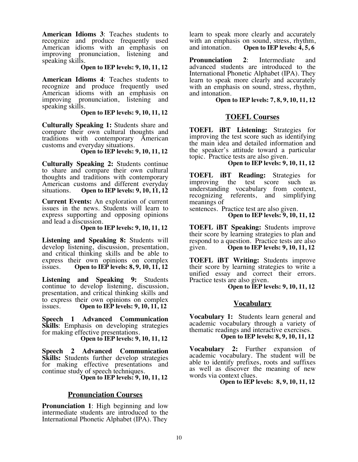**American Idioms 3**: Teaches students to recognize and produce frequently used American idioms with an emphasis on improving pronunciation, listening and speaking skills.

Open to IEP levels: 9, 10, 11, 12

**American Idioms 4**: Teaches students to recognize and produce frequently used American idioms with an emphasis on improving pronunciation, listening and speaking skills.

Open to IEP levels: 9, 10, 11, 12

**Culturally Speaking 1:** Students share and compare their own cultural thoughts and traditions with contemporary American customs and everyday situations.

Open to IEP levels: 9, 10, 11, 12

**Culturally Speaking 2:** Students continue to share and compare their own cultural thoughts and traditions with contemporary American customs and different everyday<br>situations. Open to IEP levels: 9, 10, 11, 12 Open to IEP levels: 9, 10, 11, 12

**Current Events:** An exploration of current issues in the news. Students will learn to express supporting and opposing opinions

**Open to IEP levels: 9, 10, 11, 12** 

**Listening and Speaking 8:** Students will develop listening, discussion, presentation, and critical thinking skills and be able to express their own opinions on complex<br>issues. Open to IEP levels:  $8, 9, 10, 11, 12$ Open to IEP levels: 8, 9, 10, 11, 12

**Listening and Speaking 9:** Students continue to develop listening, discussion, presentation, and critical thinking skills and to express their own opinions on complex issues. **Open to IEP levels: 9, 10, 11, 12**

**Speech 1 Advanced Communication Skills**: Emphasis on developing strategies for making effective presentations. **Open to IEP levels: 9, 10, 11, 12**

**Speech 2 Advanced Communication Skills:** Students further develop strategies for making effective presentations and continue study of speech techniques. **Open to IEP levels: 9, 10, 11, 12**

#### **Pronunciation Courses**

**Pronunciation 1**: High beginning and low intermediate students are introduced to the International Phonetic Alphabet (IPA). They

learn to speak more clearly and accurately with an emphasis on sound, stress, rhythm,<br>and intonation. Open to IEP levels:  $4, 5, 6$ Open to IEP levels: 4, 5, 6

**Pronunciation 2**: Intermediate and advanced students are introduced to the International Phonetic Alphabet (IPA). They learn to speak more clearly and accurately with an emphasis on sound, stress, rhythm, and intonation.

#### **Open to IEP levels: 7, 8, 9, 10, 11, 12**

#### **TOEFL Courses**

**TOEFL iBT Listening:** Strategies for improving the test score such as identifying the main idea and detailed information and the speaker's attitude toward a particular topic. Practice tests are also given. **Open to IEP levels: 9, 10, 11, 12**

**TOEFL iBT Reading:** Strategies for improving the test score such as improving the test score understanding vocabulary from context, recognizing referents, and simplifying meanings of

sentences. Practice test are also given. **Open to IEP levels: 9, 10, 11, 12**

**TOEFL iBT Speaking:** Students improve their score by learning strategies to plan and respond to a question. Practice tests are also given. **Open to IEP levels: 9, 10, 11, 12**

**TOEFL iBT Writing:** Students improve their score by learning strategies to write a unified essay and correct their errors.<br>Practice tests are also given.

**Open to IEP levels: 9, 10, 11, 12** 

#### **Vocabulary**

**Vocabulary 1:** Students learn general and academic vocabulary through a variety of thematic readings and interactive exercises.

 **Open to IEP levels: 8, 9, 10, 11, 12**

**Vocabulary 2:** Further expansion of academic vocabulary. The student will be able to identify prefixes, roots and suffixes as well as discover the meaning of new words via context clues.

Open to IEP levels: 8, 9, 10, 11, 12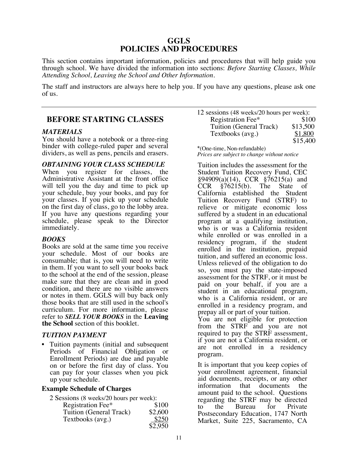#### **GGLS POLICIES AND PROCEDURES**

This section contains important information, policies and procedures that will help guide you through school. We have divided the information into sections: *Before Starting Classes, While Attending School, Leaving the School and Other Information.*

The staff and instructors are always here to help you. If you have any questions, please ask one of us.

#### **BEFORE STARTING CLASSES**

#### *MATERIALS*

You should have a notebook or a three-ring binder with college-ruled paper and several dividers, as well as pens, pencils and erasers.

#### *OBTAINING YOUR CLASS SCHEDULE*

When you register for classes, the Administrative Assistant at the front office will tell you the day and time to pick up your schedule, buy your books, and pay for your classes. If you pick up your schedule on the first day of class, go to the lobby area. If you have any questions regarding your schedule, please speak to the Director immediately.

#### *BOOKS*

Books are sold at the same time you receive your schedule. Most of our books are consumable; that is, you will need to write in them. If you want to sell your books back to the school at the end of the session, please make sure that they are clean and in good condition, and there are no visible answers or notes in them. GGLS will buy back only those books that are still used in the school's curriculum. For more information, please refer to *SELL YOUR BOOKS* in the **Leaving the School** section of this booklet.

#### *TUITION PAYMENT*

• Tuition payments (initial and subsequent Periods of Financial Obligation or Enrollment Periods) are due and payable on or before the first day of class. You can pay for your classes when you pick up your schedule.

#### **Example Schedule of Charges**

| 2 Sessions (8 weeks/20 hours per week): |         |
|-----------------------------------------|---------|
| Registration Fee*                       | \$100   |
| Tuition (General Track)                 | \$2,600 |
| Textbooks (avg.)                        | \$250   |
|                                         | \$2,950 |

| 12 sessions (48 weeks/20 hours per week): |          |
|-------------------------------------------|----------|
| Registration Fee*                         | \$100    |
| Tuition (General Track)                   | \$13,500 |
| Textbooks (avg.)                          | \$1,800  |
|                                           | \$15,400 |

\*(One-time, Non-refundable) *Prices are subject to change without notice*

Tuition includes the assessment for the Student Tuition Recovery Fund, CEC  $§94909(a)(14)$ , CCR  $§76215(a)$  and CCR §76215(b). The State of California established the Student Tuition Recovery Fund (STRF) to relieve or mitigate economic loss suffered by a student in an educational program at a qualifying institution, who is or was a California resident while enrolled or was enrolled in a residency program, if the student enrolled in the institution, prepaid tuition, and suffered an economic loss. Unless relieved of the obligation to do so, you must pay the state-imposed assessment for the STRF, or it must be paid on your behalf, if you are a student in an educational program, who is a California resident, or are enrolled in a residency program, and prepay all or part of your tuition.

You are not eligible for protection from the STRF and you are not required to pay the STRF assessment, if you are not a California resident, or are not enrolled in a residency program.

It is important that you keep copies of your enrollment agreement, financial aid documents, receipts, or any other information that documents the amount paid to the school. Questions regarding the STRF may be directed to the Bureau for Private Postsecondary Education, 1747 North Market, Suite 225, Sacramento, CA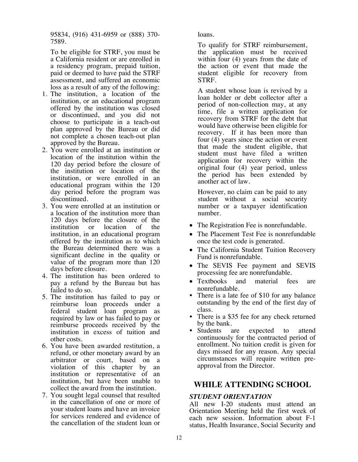95834, (916) 431-6959 or (888) 370- 7589.

To be eligible for STRF, you must be a California resident or are enrolled in a residency program, prepaid tuition, paid or deemed to have paid the STRF assessment, and suffered an economic loss as a result of any of the following:

- 1. The institution, a location of the institution, or an educational program offered by the institution was closed or discontinued, and you did not choose to participate in a teach-out plan approved by the Bureau or did not complete a chosen teach-out plan approved by the Bureau.
- 2. You were enrolled at an institution or location of the institution within the 120 day period before the closure of the institution or location of the institution, or were enrolled in an educational program within the 120 day period before the program was discontinued.
- 3. You were enrolled at an institution or a location of the institution more than 120 days before the closure of the institution or location of the institution, in an educational program offered by the institution as to which the Bureau determined there was a significant decline in the quality or value of the program more than 120 days before closure.
- 4. The institution has been ordered to pay a refund by the Bureau but has failed to do so.
- 5. The institution has failed to pay or reimburse loan proceeds under a federal student loan program as required by law or has failed to pay or reimburse proceeds received by the institution in excess of tuition and other costs.
- 6. You have been awarded restitution, a refund, or other monetary award by an arbitrator or court, based on a violation of this chapter by an institution or representative of an institution, but have been unable to collect the award from the institution.
- 7. You sought legal counsel that resulted in the cancellation of one or more of your student loans and have an invoice for services rendered and evidence of the cancellation of the student loan or

loans.

To qualify for STRF reimbursement, the application must be received within four (4) years from the date of the action or event that made the student eligible for recovery from STRF.

A student whose loan is revived by a loan holder or debt collector after a period of non-collection may, at any time, file a written application for recovery from STRF for the debt that would have otherwise been eligible for recovery. If it has been more than four (4) years since the action or event that made the student eligible, that student must have filed a written application for recovery within the original four (4) year period, unless the period has been extended by another act of law.

However, no claim can be paid to any student without a social security number or a taxpayer identification number.

- The Registration Fee is nonrefundable.
- The Placement Test Fee is nonrefundable once the test code is generated.
- The California Student Tuition Recovery Fund is nonrefundable.
- The SEVIS Fee payment and SEVIS processing fee are nonrefundable.
- Textbooks and material fees are
- nonrefundable.<br>There is a late fee of \$10 for any balance outstanding by the end of the first day of
- class. There is a \$35 fee for any check returned
- by the bank.<br>Students are expected to attend continuously for the contracted period of enrollment. No tuition credit is given for days missed for any reason. Any special circumstances will require written preapproval from the Director.

## **WHILE ATTENDING SCHOOL**

#### *STUDENT ORIENTATION*

All new I-20 students must attend an Orientation Meeting held the first week of each new session. Information about F-1 status, Health Insurance, Social Security and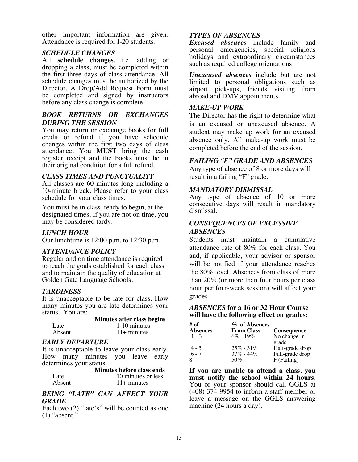other important information are given. Attendance is required for I-20 students.

#### *SCHEDULE CHANGES*

All **schedule changes**, i.e. adding or dropping a class, must be completed within the first three days of class attendance. All schedule changes must be authorized by the Director. A Drop/Add Request Form must be completed and signed by instructors before any class change is complete.

#### *BOOK RETURNS OR EXCHANGES DURING THE SESSION*

You may return or exchange books for full credit or refund if you have schedule changes within the first two days of class attendance. You **MUST** bring the cash register receipt and the books must be in their original condition for a full refund.

#### *CLASS TIMES AND PUNCTUALITY*

All classes are 60 minutes long including a 10-minute break. Please refer to your class schedule for your class times.

You must be in class, ready to begin, at the designated times. If you are not on time, you may be considered tardy.

#### *LUNCH HOUR*

Our lunchtime is 12:00 p.m. to 12:30 p.m.

#### *ATTENDANCE POLICY*

Regular and on time attendance is required to reach the goals established for each class and to maintain the quality of education at Golden Gate Language Schools.

#### *TARDINESS*

It is unacceptable to be late for class. How many minutes you are late determines your status. You are:

|        | <b>Minutes after class begins</b> |
|--------|-----------------------------------|
| Late   | 1-10 minutes                      |
| Absent | $11+$ minutes                     |

#### *EARLY DEPARTURE*

It is unacceptable to leave your class early. How many minutes you leave early determines your status.

|        | Minutes before class ends |
|--------|---------------------------|
| Late   | 10 minutes or less        |
| Absent | $11+$ minutes             |

#### *BEING "LATE" CAN AFFECT YOUR GRADE*

Each two (2) "late's" will be counted as one (1) "absent."

#### *TYPES OF ABSENCES*

*Excused absences* include family and personal emergencies, special religious holidays and extraordinary circumstances such as required college orientations.

*Unexcused absences* include but are not limited to personal obligations such as airport pick-ups, friends visiting from abroad and DMV appointments.

#### *MAKE-UP WORK*

The Director has the right to determine what is an excused or unexcused absence. A student may make up work for an excused absence only. All make-up work must be completed before the end of the session.

#### *FAILING "F" GRADE AND ABSENCES*

Any type of absence of 8 or more days will result in a failing "F" grade.

#### *MANDATORY DISMISSAL*

Any type of absence of 10 or more consecutive days will result in mandatory dismissal.

#### *CONSEQUENCES OF EXCESSIVE ABSENCES*

Students must maintain a cumulative attendance rate of 80% for each class. You and, if applicable, your advisor or sponsor will be notified if your attendance reaches the 80% level. Absences from class of more than 20% (or more than four hours per class hour per four-week session) will affect your grades.

#### *ABSENCES* **for a 16 or 32 Hour Course will have the following effect on grades:**

| # of            | % of Absences     |                    |
|-----------------|-------------------|--------------------|
| <b>Absences</b> | <b>From Class</b> | <b>Consequence</b> |
| $1 - 3$         | $6\% - 19\%$      | No change in       |
|                 |                   | grade              |
| $4 - 5$         | $25\% - 31\%$     | Half-grade drop    |
| $6 - 7$         | $37\% - 44\%$     | Full-grade drop    |
| $8+$            | $50\% +$          | F (Failing)        |

**If you are unable to attend a class**, **you**  You or your sponsor should call GGLS at (408) 374-9954 to inform a staff member or leave a message on the GGLS answering machine (24 hours a day).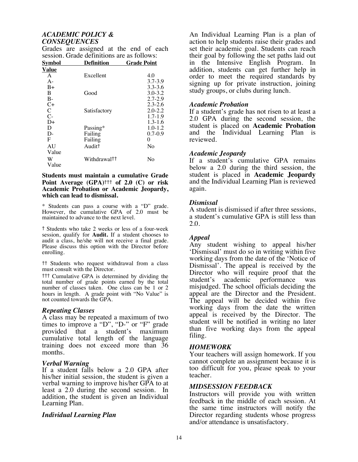#### *ACADEMIC POLICY & CONSEQUENCES*

| Svmbol         | Definition         | <b>Grade Point</b> |
|----------------|--------------------|--------------------|
| Value          |                    |                    |
| A              | Excellent          | 4.0                |
| $A -$          |                    | $3.7 - 3.9$        |
| $B+$           |                    | $3.3 - 3.6$        |
| B              | Good               | $3.0 - 3.2$        |
| $B-$           |                    | $2.7 - 2.9$        |
| $C+$           |                    | $2.3 - 2.6$        |
| $\overline{C}$ | Satisfactory       | $2.0 - 2.2$        |
| $C-$           |                    | $1.7 - 1.9$        |
| $D+$           |                    | $1.3 - 1.6$        |
| D              | Passing*           | $1.0 - 1.2$        |
| $D-$           | Failing            | $0.7 - 0.9$        |
| F              | Failing            | 0                  |
| AU             | Audit <sup>†</sup> | No                 |
| Value          |                    |                    |
| W              | Withdrawal††       | No                 |
| Value          |                    |                    |

Grades are assigned at the end of each session. Grade definitions are as follows:

#### **Students must maintain a cumulative Grade Point Average (GPA)**††† **of 2.0 (C) or risk Academic Probation or Academic Jeopardy, which can lead to dismissal.**

\* Students can pass a course with a "D" grade. However, the cumulative GPA of 2.0 must be maintained to advance to the next level.

† Students who take 2 weeks or less of a four-week session, qualify for **Audit.** If a student chooses to audit a class, he/she will not receive a final grade. Please discuss this option with the Director before enrolling.

†† Students who request withdrawal from a class must consult with the Director.

††† Cumulative GPA is determined by dividing the total number of grade points earned by the total number of classes taken. One class can be 1 or 2 hours in length. A grade point with "No Value" is not counted towards the GPA.

#### *Repeating Classes*

A class may be repeated a maximum of two times to improve a "D", "D-" or "F" grade provided that a student's maximum cumulative total length of the language training does not exceed more than 36 months.

#### *Verbal Warning*

If a student falls below a 2.0 GPA after his/her initial session, the student is given a verbal warning to improve his/her GPA to at least a 2.0 during the second session. In addition, the student is given an Individual Learning Plan.

#### *Individual Learning Plan*

An Individual Learning Plan is a plan of action to help students raise their grades and set their academic goal. Students can reach their goal by following the set paths laid out in the Intensive English Program. In addition, students can get further help in order to meet the required standards by signing up for private instruction, joining study groups, or clubs during lunch.

#### *Academic Probation*

If a student's grade has not risen to at least a 2.0 GPA during the second session, the student is placed on **Academic Probation** and the Individual Learning Plan is reviewed.

#### *Academic Jeopardy*

If a student's cumulative GPA remains below a 2.0 during the third session, the student is placed in **Academic Jeopardy** and the Individual Learning Plan is reviewed again.

#### *Dismissal*

A student is dismissed if after three sessions, a student's cumulative GPA is still less than 2.0.

#### *Appeal*

Any student wishing to appeal his/her 'Dismissal' must do so in writing within five working days from the date of the 'Notice of Dismissal'. The appeal is received by the Director who will require proof that the student's academic performance was student's academic performance was misjudged. The school officials deciding the appeal are the Director and the President. The appeal will be decided within five working days from the date the written appeal is received by the Director. The student will be notified in writing no later than five working days from the appeal filing.

#### *HOMEWORK*

Your teachers will assign homework. If you cannot complete an assignment because it is too difficult for you, please speak to your teacher.

#### *MIDSESSION FEEDBACK*

Instructors will provide you with written feedback in the middle of each session. At the same time instructors will notify the Director regarding students whose progress and/or attendance is unsatisfactory.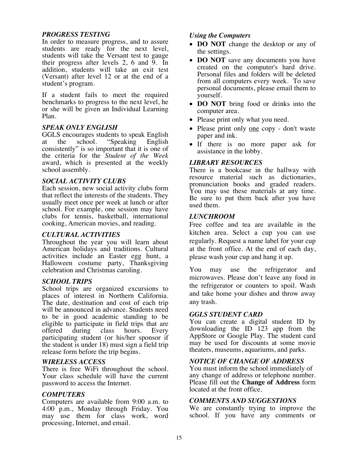#### *PROGRESS TESTING*

In order to measure progress, and to assure students are ready for the next level, students will take the Versant test to gauge their progress after levels 2, 6 and  $\overline{9}$ . In addition, students will take an exit test (Versant) after level 12 or at the end of a student's program.

If a student fails to meet the required benchmarks to progress to the next level, he or she will be given an Individual Learning Plan.

#### *SPEAK ONLY ENGLISH*

GGLS encourages students to speak English at the school. "Speaking English consistently" is so important that it is one of the criteria for the *Student of the Week* award, which is presented at the weekly school assembly.

#### *SOCIAL ACTIVITY CLUBS*

Each session, new social activity clubs form that reflect the interests of the students. They usually meet once per week at lunch or after school. For example, one session may have clubs for tennis, basketball, international cooking, American movies, and reading.

#### *CULTURAL ACTIVITIES*

Throughout the year you will learn about American holidays and traditions. Cultural activities include an Easter egg hunt, a Halloween costume party, Thanksgiving celebration and Christmas caroling.

#### *SCHOOL TRIPS*

School trips are organized excursions to places of interest in Northern California. The date, destination and cost of each trip will be announced in advance. Students need to be in good academic standing to be eligible to participate in field trips that are offered during class hours. Every participating student (or his/her sponsor if the student is under 18) must sign a field trip release form before the trip begins.

#### *WIRELESS ACCESS*

There is free WiFi throughout the school. Your class schedule will have the current password to access the Internet.

#### *COMPUTERS*

Computers are available from 9:00 a.m. to 4:00 p.m., Monday through Friday. You may use them for class work, word processing, Internet, and email.

#### *Using the Computers*

- **DO NOT** change the desktop or any of the settings.
- **DO NOT** save any documents you have created on the computer's hard drive. Personal files and folders will be deleted from all computers every week. To save personal documents, please email them to yourself.
- **DO NOT** bring food or drinks into the computer area.
- Please print only what you need.
- Please print only <u>one</u> copy don't waste paper and ink.
- If there is no more paper ask for assistance in the lobby.

#### *LIBRARY RESOURCES*

There is a bookcase in the hallway with resource material such as dictionaries, pronunciation books and graded readers. You may use these materials at any time. Be sure to put them back after you have used them.

#### *LUNCHROOM*

Free coffee and tea are available in the kitchen area. Select a cup you can use regularly. Request a name label for your cup at the front office. At the end of each day, please wash your cup and hang it up.

You may use the refrigerator and microwaves. Please don't leave any food in the refrigerator or counters to spoil. Wash and take home your dishes and throw away any trash.

#### *GGLS STUDENT CARD*

You can create a digital student ID by downloading the ID 123 app from the AppStore or Google Play. The student card may be used for discounts at some movie theaters, museums, aquariums, and parks.

#### *NOTICE OF CHANGE OF ADDRESS*

You must inform the school immediately of any change of address or telephone number. Please fill out the **Change of Address** form located at the front office.

#### *COMMENTS AND SUGGESTIONS*

We are constantly trying to improve the school. If you have any comments or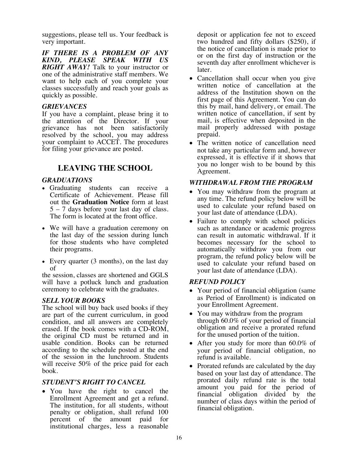suggestions, please tell us. Your feedback is very important.

*IF THERE IS A PROBLEM OF ANY KIND, PLEASE SPEAK WITH US RIGHT AWAY!* Talk to your instructor or one of the administrative staff members. We want to help each of you complete your classes successfully and reach your goals as quickly as possible.

#### *GRIEVANCES*

If you have a complaint, please bring it to the attention of the Director. If your grievance has not been satisfactorily resolved by the school, you may address your complaint to ACCET. The procedures for filing your grievance are posted.

### **LEAVING THE SCHOOL**

#### *GRADUATIONS*

- Graduating students can receive a Certificate of Achievement. Please fill out the **Graduation Notice** form at least 5 – 7 days before your last day of class. The form is located at the front office.
- We will have a graduation ceremony on the last day of the session during lunch for those students who have completed their programs.
- Every quarter (3 months), on the last day of

the session, classes are shortened and GGLS will have a potluck lunch and graduation ceremony to celebrate with the graduates.

#### *SELL YOUR BOOKS*

The school will buy back used books if they are part of the current curriculum, in good condition, and all answers are completely erased. If the book comes with a CD-ROM, the original CD must be returned and in usable condition. Books can be returned according to the schedule posted at the end of the session in the lunchroom. Students will receive 50% of the price paid for each book.

#### *STUDENT'S RIGHT TO CANCEL*

• You have the right to cancel the Enrollment Agreement and get a refund. The institution, for all students, without penalty or obligation, shall refund 100 percent of the amount paid for institutional charges, less a reasonable

deposit or application fee not to exceed two hundred and fifty dollars (\$250), if the notice of cancellation is made prior to or on the first day of instruction or the seventh day after enrollment whichever is later.

- Cancellation shall occur when you give written notice of cancellation at the address of the Institution shown on the first page of this Agreement. You can do this by mail, hand delivery, or email. The written notice of cancellation, if sent by mail, is effective when deposited in the mail properly addressed with postage prepaid.
- The written notice of cancellation need not take any particular form and, however expressed, it is effective if it shows that you no longer wish to be bound by this Agreement.

#### *WITHDRAWAL FROM THE PROGRAM*

- You may withdraw from the program at any time. The refund policy below will be used to calculate your refund based on your last date of attendance (LDA).
- Failure to comply with school policies such as attendance or academic progress can result in automatic withdrawal. If it becomes necessary for the school to automatically withdraw you from our program, the refund policy below will be used to calculate your refund based on your last date of attendance (LDA).

#### *REFUND POLICY*

- Your period of financial obligation (same) as Period of Enrollment) is indicated on your Enrollment Agreement.
- You may withdraw from the program through 60.0% of your period of financial obligation and receive a prorated refund for the unused portion of the tuition.
- After you study for more than 60.0% of your period of financial obligation, no refund is available.
- Prorated refunds are calculated by the day based on your last day of attendance. The prorated daily refund rate is the total amount you paid for the period of financial obligation divided by the number of class days within the period of financial obligation.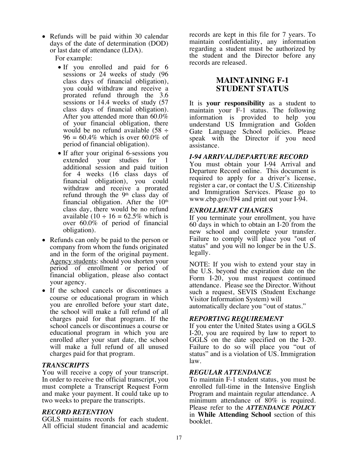• Refunds will be paid within 30 calendar days of the date of determination (DOD) or last date of attendance (LDA).

For example:

- If you enrolled and paid for 6 sessions or 24 weeks of study (96 class days of financial obligation), you could withdraw and receive a prorated refund through the 3.6 sessions or 14.4 weeks of study (57 class days of financial obligation). After you attended more than 60.0% of your financial obligation, there would be no refund available  $(58 \div$  $96 = 60.4\%$  which is over 60.0% of period of financial obligation).
- If after your original 6-sessions you extended your studies for 1 additional session and paid tuition for 4 weeks (16 class days of financial obligation), you could withdraw and receive a prorated refund through the  $9<sup>th</sup>$  class day of financial obligation. After the  $10<sup>th</sup>$ class day, there would be no refund available (10  $\div$  16 = 62.5% which is over 60.0% of period of financial obligation).
- Refunds can only be paid to the person or company from whom the funds originated and in the form of the original payment. Agency students: should you shorten your period of enrollment or period of financial obligation, please also contact your agency.
- If the school cancels or discontinues a course or educational program in which you are enrolled before your start date, the school will make a full refund of all charges paid for that program. If the school cancels or discontinues a course or educational program in which you are enrolled after your start date, the school will make a full refund of all unused charges paid for that program.

#### *TRANSCRIPTS*

You will receive a copy of your transcript. In order to receive the official transcript, you must complete a Transcript Request Form and make your payment. It could take up to two weeks to prepare the transcripts.

#### *RECORD RETENTION*

GGLS maintains records for each student. All official student financial and academic

records are kept in this file for 7 years. To maintain confidentiality, any information regarding a student must be authorized by the student and the Director before any records are released.

#### **MAINTAINING F-1 STUDENT STATUS**

It is **your responsibility** as a student to maintain your F-1 status. The following information is provided to help you understand US Immigration and Golden Gate Language School policies. Please speak with the Director if you need assistance.

#### *I-94 ARRIVAL/DEPARTURE RECORD*

You must obtain your I-94 Arrival and Departure Record online. This document is required to apply for a driver's license, register a car, or contact the U.S. Citizenship and Immigration Services. Please go to www.cbp.gov/I94 and print out your I-94.

#### *ENROLLMENT CHANGES*

If you terminate your enrollment*,* you have 60 days in which to obtain an I-20 from the new school and complete your transfer. Failure to comply will place you "out of status" and you will no longer be in the U.S. legally.

NOTE: If you wish to extend your stay in the U.S. beyond the expiration date on the Form I-20, you must request continued attendance. Please see the Director. Without such a request, SEVIS (Student Exchange Visitor Information System) will automatically declare you "out of status."

#### *REPORTING REQUIREMENT*

If you enter the United States using a GGLS I-20, you are required by law to report to GGLS on the date specified on the I-20. Failure to do so will place you "out of status" and is a violation of US. Immigration law.

#### *REGULAR ATTENDANCE*

To maintain F-1 student status, you must be enrolled full-time in the Intensive English Program and maintain regular attendance. A minimum attendance of 80% is required. Please refer to the *ATTENDANCE POLICY* in **While Attending School** section of this booklet.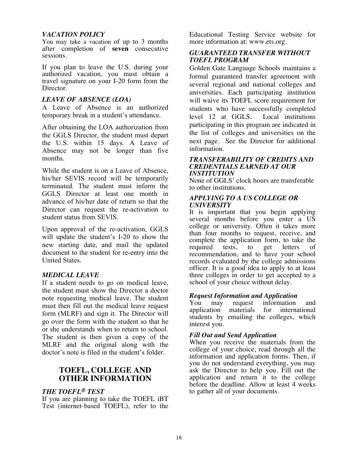#### *VACATION POLICY*

You may take a vacation of up to 3 months after completion of **seven** consecutive sessions.

If you plan to leave the U.S. during your authorized vacation, you must obtain a travel signature on your I-20 form from the Director.

#### *LEAVE OF ABSENCE (LOA)*

A Leave of Absence is an authorized temporary break in a student's attendance.

After obtaining the LOA authorization from the GGLS Director, the student must depart the U.S. within 15 days. A Leave of Absence may not be longer than five months.

While the student is on a Leave of Absence, his/her SEVIS record will be temporarily terminated. The student must inform the GGLS Director at least one month in advance of his/her date of return so that the Director can request the re-activation to student status from SEVIS.

Upon approval of the re-activation, GGLS will update the student's I-20 to show the new starting date, and mail the updated document to the student for re-entry into the United States.

#### *MEDICAL LEAVE*

If a student needs to go on medical leave, the student must show the Director a doctor note requesting medical leave. The student must then fill out the medical leave request form (MLRF) and sign it. The Director will go over the form with the student so that he or she understands when to return to school. The student is then given a copy of the MLRF and the original along with the doctor's note is filed in the student's folder.

#### **TOEFL, COLLEGE AND OTHER INFORMATION**

#### *THE TOEFL® TEST*

If you are planning to take the TOEFL iBT Test (internet-based TOEFL), refer to the Educational Testing Service website for more information at: www.ets.org.

#### *GUARANTEED TRANSFER WITHOUT TOEFL PROGRAM*

Golden Gate Language Schools maintains a formal guaranteed transfer agreement with several regional and national colleges and universities. Each participating institution will waive its TOEFL score requirement for students who have successfully completed level 12 at GGLS. Local institutions participating in this program are indicated in the list of colleges and universities on the next page. See the Director for additional information.

#### *TRANSFERABILITY OF CREDITS AND CREDENTIALS EARNED AT OUR INSTITUTION*

None of GGLS' clock hours are transferable to other institutions.

#### *APPLYING TO A US COLLEGE OR UNIVERSITY*

It is important that you begin applying several months before you enter a US college or university. Often it takes more than four months to request, receive, and complete the application form, to take the required tests, to get letters of required tests, to get letters of recommendation, and to have your school records evaluated by the college admissions officer. It is a good idea to apply to at least three colleges in order to get accepted to a school of your choice without delay.

#### *Request Information and Application*

You may request information and application materials for international students by emailing the colleges, which interest you.

#### *Fill Out and Send Application*

When you receive the materials from the college of your choice, read through all the information and application forms. Then, if you do not understand everything, you may ask the Director to help you. Fill out the application and return it to the college before the deadline. Allow at least 4 weeks to gather all of your documents.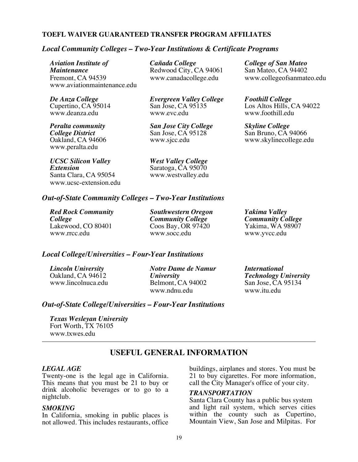#### **TOEFL WAIVER GUARANTEED TRANSFER PROGRAM AFFILIATES**

#### *Local Community Colleges – Two-Year Institutions & Certificate Programs*

*Aviation Institute of Cañada College College of San Mateo* Fremont, CA 94539 www.canadacollege.edu www.collegeofsanmateo.edu www.aviationmaintenance.edu

www.peralta.edu

*UCSC Silicon Valley West Valley College*  Santa Clara, CA 95054 www.ucsc-extension.edu

Redwood City, CA 94061

*De Anza College Evergreen Valley College Foothill College*

*Peralta community San Jose City College Skyline College*  **College District** San Jose, CA 95128 San Bruno, CA 94066<br>
Oakland, CA 94606 www.sjcc.edu www.swigec.edu www.skylinecollege.edu

*Extension* Saratoga, CA 95070

Cupertino, CA 95014 San Jose, CA 95135 Los Altos Hills, CA 94022<br>www.eve.edu www.eve.edu www.foothill.edu www.foothill.edu

www.skylinecollege.edu

#### *Out-of-State Community Colleges – Two-Year Institutions*

*Red Rock Community Southwestern Oregon Yakima Valley College Community College Community College* www.rrcc.edu www.socc.edu www.yvcc.edu

 $\cos$  Bay, OR 97420

#### *Local College/Universities – Four-Year Institutions*

*Lincoln University Notre Dame de Namur International* Belmont, CA 94002 www.ndnu.edu www.itu.edu

Oakland, CA 94612 *University Technology University*

#### *Out-of-State College/Universities – Four-Year Institutions*

*Texas Wesleyan University*  Fort Worth, TX 76105 www.txwes.edu

#### **USEFUL GENERAL INFORMATION**

#### *LEGAL AGE*

Twenty-one is the legal age in California. This means that you must be 21 to buy or drink alcoholic beverages or to go to a nightclub.

#### *SMOKING*

In California, smoking in public places is not allowed. This includes restaurants, office buildings, airplanes and stores. You must be 21 to buy cigarettes. For more information, call the City Manager's office of your city.

#### *TRANSPORTATION*

Santa Clara County has a public bus system and light rail system, which serves cities within the county such as Cupertino, Mountain View, San Jose and Milpitas. For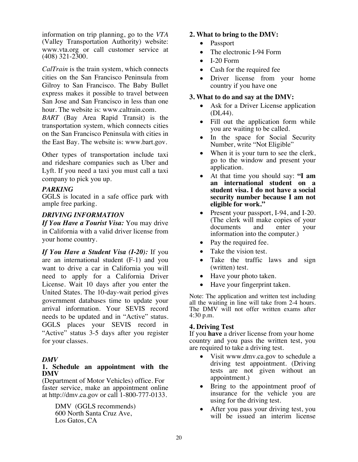information on trip planning, go to the *VTA* (Valley Transportation Authority) website: www.vta.org or call customer service at (408) 321-2300.

*CalTrain* is the train system, which connects cities on the San Francisco Peninsula from Gilroy to San Francisco. The Baby Bullet express makes it possible to travel between San Jose and San Francisco in less than one hour. The website is: www.caltrain.com.

*BART* (Bay Area Rapid Transit) is the transportation system, which connects cities on the San Francisco Peninsula with cities in the East Bay. The website is: www.bart.gov.

Other types of transportation include taxi and rideshare companies such as Uber and Lyft. If you need a taxi you must call a taxi company to pick you up.

#### *PARKING*

GGLS is located in a safe office park with ample free parking.

#### *DRIVING INFORMATION*

*If You Have a Tourist Visa:* You may drive in California with a valid driver license from your home country.

*If You Have a Student Visa (I-20):* If you are an international student (F-1) and you want to drive a car in California you will need to apply for a California Driver License. Wait 10 days after you enter the United States. The 10-day-wait period gives government databases time to update your arrival information. Your SEVIS record needs to be updated and in "Active" status. GGLS places your SEVIS record in "Active" status 3-5 days after you register for your classes.

#### *DMV*

#### **1. Schedule an appointment with the DMV**

(Department of Motor Vehicles) office. For faster service, make an appointment online at http://dmv.ca.gov or call 1-800-777-0133.

> DMV (GGLS recommends) 600 North Santa Cruz Ave, Los Gatos, CA

#### **2. What to bring to the DMV:**

- Passport
- The electronic I-94 Form
- I-20 Form
- Cash for the required fee
- Driver license from your home country if you have one

#### **3. What to do and say at the DMV:**

- Ask for a Driver License application (DL44).
- Fill out the application form while you are waiting to be called.
- In the space for Social Security Number, write "Not Eligible"
- When it is your turn to see the clerk, go to the window and present your application.
- At that time you should say: **"I am an international student on a student visa. I do not have a social security number because I am not eligible for work."**
- Present your passport, I-94, and I-20. (The clerk will make copies of your documents and enter your information into the computer.)
- Pay the required fee.
- Take the vision test.
- Take the traffic laws and sign (written) test.
- Have your photo taken.
- Have your fingerprint taken.

Note: The application and written test including all the waiting in line will take from 2-4 hours. The DMV will not offer written exams after 4:30 p.m.

#### **4. Driving Test**

If you **have** a driver license from your home country and you pass the written test, you are required to take a driving test.

- Visit www.dmv.ca.gov to schedule a driving test appointment. (Driving tests are not given without an appointment.)
- Bring to the appointment proof of insurance for the vehicle you are using for the driving test.
- After you pass your driving test, you will be issued an interim license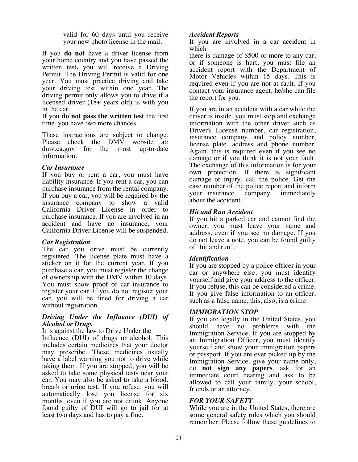valid for 60 days until you receive your new photo license in the mail.

If you **do not** have a driver license from your home country and you have passed the written test**,** you will receive a Driving Permit. The Driving Permit is valid for one year. You must practice driving and take your driving test within one year. The driving permit only allows you to drive if a licensed driver (18+ years old) is with you in the car.

If you **do not pass the written test** the first time, you have two more chances.

These instructions are subject to change. Please check the DMV website at: dmv.ca.gov for the most up-to-date information.

#### *Car Insurance*

If you buy or rent a car, you must have liability insurance. If you rent a car, you can purchase insurance from the rental company. If you buy a car, you will be required by the insurance company to show a valid California Driver License in order to purchase insurance. If you are involved in an accident and have no insurance, your California Driver License will be suspended.

#### *Car Registration*

The car you drive must be currently registered. The license plate must have a sticker on it for the current year. If you purchase a car, you must register the change of ownership with the DMV within 10 days. You must show proof of car insurance to register your car. If you do not register your car, you will be fined for driving a car without registration.

#### *Driving Under the Influence (DUI) of Alcohol or Drugs*

It is against the law to Drive Under the

Influence (DUI) of drugs or alcohol. This includes certain medicines that your doctor may prescribe. These medicines usually have a label warning you not to drive while taking them. If you are stopped, you will be asked to take some physical tests near your car. You may also be asked to take a blood, breath or urine test. If you refuse, you will automatically lose you license for six months, even if you are not drunk. Anyone found guilty of DUI will go to jail for at least two days and has to pay a fine.

#### *Accident Reports*

If you are involved in a car accident in which

there is damage of \$500 or more to any car, or if someone is hurt, you must file an accident report with the Department of Motor Vehicles within 15 days. This is required even if you are not at fault. If you contact your insurance agent, he/she can file the report for you.

If you are in an accident with a car while the driver is inside, you must stop and exchange information with the other driver such as Driver's License number, car registration, insurance company and policy number, license plate, address and phone number. Again, this is required even if you see no damage or if you think it is not your fault. The exchange of this information is for your own protection. If there is significant damage or injury, call the police. Get the case number of the police report and inform your insurance company immediately about the accident.

#### *Hit and Run Accident*

If you hit a parked car and cannot find the owner, you must leave your name and address, even if you see no damage. If you do not leave a note, you can be found guilty of "hit and run".

#### *Identification*

If you are stopped by a police officer in your car or anywhere else, you must identify yourself and give your address to the officer. If you refuse, this can be considered a crime. If you give false information to an officer, such as a false name, this, also, is a crime.

#### *IMMIGRATION STOP*

If you are legally in the United States, you should have no problems with the Immigration Service. If you are stopped by an Immigration Officer, you must identify yourself and show your immigration papers or passport. If you are ever picked up by the Immigration Service, give your name only, do **not sign any papers**, ask for an immediate court hearing and ask to be allowed to call your family, your school, friends or an attorney.

#### *FOR YOUR SAFETY*

While you are in the United States, there are some general safety rules which you should remember. Please follow these guidelines to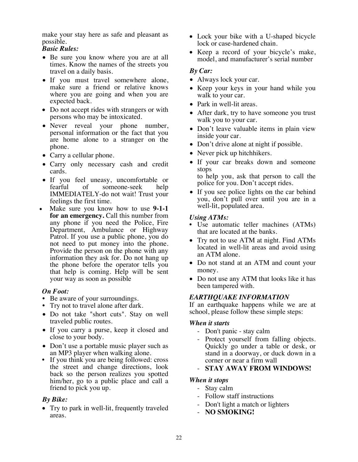make your stay here as safe and pleasant as possible.

#### *Basic Rules:*

- Be sure you know where you are at all times. Know the names of the streets you travel on a daily basis.
- If you must travel somewhere alone, make sure a friend or relative knows where you are going and when you are expected back.
- Do not accept rides with strangers or with persons who may be intoxicated.
- Never reveal your phone number, personal information or the fact that you are home alone to a stranger on the phone.
- Carry a cellular phone.
- Carry only necessary cash and credit cards.
- If you feel uneasy, uncomfortable or fearful of someone-seek help IMMEDIATELY-do not wait! Trust your feelings the first time.
- Make sure you know how to use **9-1-1 for an emergency.** Call this number from any phone if you need the Police, Fire Department, Ambulance or Highway Patrol. If you use a public phone, you do not need to put money into the phone. Provide the person on the phone with any information they ask for. Do not hang up the phone before the operator tells you that help is coming. Help will be sent your way as soon as possible

#### *On Foot:*

- 
- Be aware of your surroundings.<br>• Try not to travel alone after dark.
- Do not take "short cuts". Stay on well traveled public routes.
- If you carry a purse, keep it closed and close to your body.
- Don't use a portable music player such as an MP3 player when walking alone.
- If you think you are being followed: cross the street and change directions, look back so the person realizes you spotted him/her, go to a public place and call a friend to pick you up.

#### *By Bike:*

• Try to park in well-lit, frequently traveled areas.

- Lock your bike with a U-shaped bicycle lock or case-hardened chain.
- Keep a record of your bicycle's make, model, and manufacturer's serial number

#### *By Car:*

- Always lock your car.
- Keep your keys in your hand while you walk to your car.
- Park in well-lit areas.
- After dark, try to have someone you trust walk you to your car.
- Don't leave valuable items in plain view inside your car.
- Don't drive alone at night if possible.
- Never pick up hitchhikers.
- If your car breaks down and someone stops to help you, ask that person to call the
	- police for you. Don't accept rides.
- If you see police lights on the car behind you, don't pull over until you are in a well-lit, populated area.

#### *Using ATMs:*

- Use automatic teller machines (ATMs) that are located at the banks.
- Try not to use ATM at night. Find ATMs located in well-lit areas and avoid using an ATM alone.
- Do not stand at an ATM and count your money.
- Do not use any ATM that looks like it has been tampered with.

#### *EARTHQUAKE INFORMATION*

If an earthquake happens while we are at school, please follow these simple steps:

#### *When it starts*

- Don't panic stay calm
- Protect yourself from falling objects. Quickly go under a table or desk, or stand in a doorway, or duck down in a corner or near a firm wall
- **STAY AWAY FROM WINDOWS!**

#### *When it stops*

- Stay calm
- Follow staff instructions
- Don't light a match or lighters
- **NO SMOKING!**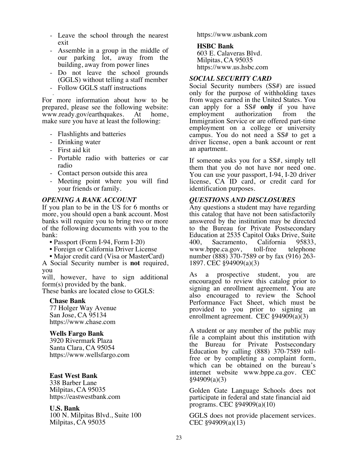- Leave the school through the nearest exit
- Assemble in a group in the middle of our parking lot, away from the building, away from power lines
- Do not leave the school grounds (GGLS) without telling a staff member
- Follow GGLS staff instructions

- For more information about how to be prepared, please see the following website: www.ready.gov/earthquakes. At home, make sure you have at least the following:

- Flashlights and batteries
- Drinking water
- First aid kit
- Portable radio with batteries or car radio
- Contact person outside this area
- Meeting point where you will find your friends or family.

#### *OPENING A BANK ACCOUNT*

If you plan to be in the US for 6 months or more, you should open a bank account. Most banks will require you to bring two or more of the following documents with you to the bank:

- Passport (Form I-94, Form I-20)
- Foreign or California Driver License
- Major credit card (Visa or MasterCard)

A Social Security number is **not** required, you

will, however, have to sign additional form(s) provided by the bank.

These banks are located close to GGLS:

#### **Chase Bank**

77 Holger Way Avenue San Jose, CA 95134 https://www.chase.com

#### **Wells Fargo Bank**

3920 Rivermark Plaza Santa Clara, CA 95054 https://www.wellsfargo.com

#### **East West Bank**

338 Barber Lane Milpitas, CA 95035 https://eastwestbank.com

#### **U.S. Bank**

100 N. Milpitas Blvd., Suite 100 Milpitas, CA 95035

https://www.usbank.com

#### **HSBC Bank**

603 E. Calaveras Blvd. Milpitas, CA 95035 https://www.us.hsbc.com

#### *SOCIAL SECURITY CARD*

Social Security numbers (SS#) are issued only for the purpose of withholding taxes from wages earned in the United States. You can apply for a SS# **only** if you have employment authorization from the Immigration Service or are offered part-time employment on a college or university campus. You do not need a SS# to get a driver license, open a bank account or rent an apartment.

If someone asks you for a SS#, simply tell them that you do not have nor need one. You can use your passport, I-94, I-20 driver license, CA ID card, or credit card for identification purposes.

#### *QUESTIONS AND DISCLOSURES*

Any questions a student may have regarding this catalog that have not been satisfactorily answered by the institution may be directed to the Bureau for Private Postsecondary Education at 2535 Capitol Oaks Drive, Suite 400, Sacramento, California 95833, www.bppe.ca.gov, toll-free telephone number (888) 370-7589 or by fax (916) 263- 1897. CEC §94909(a)(3)

As a prospective student, you are encouraged to review this catalog prior to signing an enrollment agreement. You are also encouraged to review the School Performance Fact Sheet, which must be provided to you prior to signing an enrollment agreement. CEC §94909(a)(3)

A student or any member of the public may file a complaint about this institution with the Bureau for Private Postsecondary Education by calling (888) 370-7589 tollfree or by completing a complaint form, which can be obtained on the bureau's internet website www.bppe.ca.gov. CEC  $§94909(a)(3)$ 

Golden Gate Language Schools does not participate in federal and state financial aid programs. CEC §94909(a)(10)

GGLS does not provide placement services. CEC §94909(a)(13)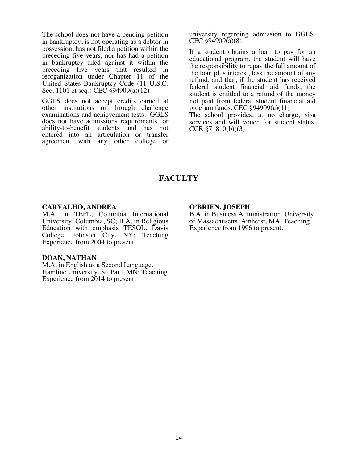The school does not have a pending petition in bankruptcy, is not operating as a debtor in possession, has not filed a petition within the preceding five years, nor has had a petition in bankruptcy filed against it within the preceding five years that resulted in reorganization under Chapter 11 of the United States Bankruptcy Code (11 U.S.C. Sec. 1101 et seq.) CEC §94909(a)(12)

GGLS does not accept credits earned at other institutions or through challenge examinations and achievement tests. GGLS does not have admissions requirements for ability-to-benefit students and has not entered into an articulation or transfer agreement with any other college or

university regarding admission to GGLS. CEC §94909(a)(8)

If a student obtains a loan to pay for an educational program, the student will have the responsibility to repay the full amount of the loan plus interest, less the amount of any refund, and that, if the student has received federal student financial aid funds, the student is entitled to a refund of the money not paid from federal student financial aid program funds. CEC §94909(a)(11)

The school provides, at no charge, visa services and will vouch for student status. CCR §71810(b)((3)

## **FACULTY**

#### **CARVALHO, ANDREA**

M.A. in TEFL, Columbia International University, Columbia, SC; B.A. in Religious Education with emphasis TESOL, Davis College, Johnson City, NY; Teaching Experience from 2004 to present.

**DOAN, NATHAN**<br>M.A. in English as a Second Language, Hamline University, St. Paul, MN; Teaching Experience from 2014 to present.

#### **O'BRIEN, JOSEPH**

B.A. in Business Administration, University of Massachusetts, Amherst, MA; Teaching Experience from 1996 to present.